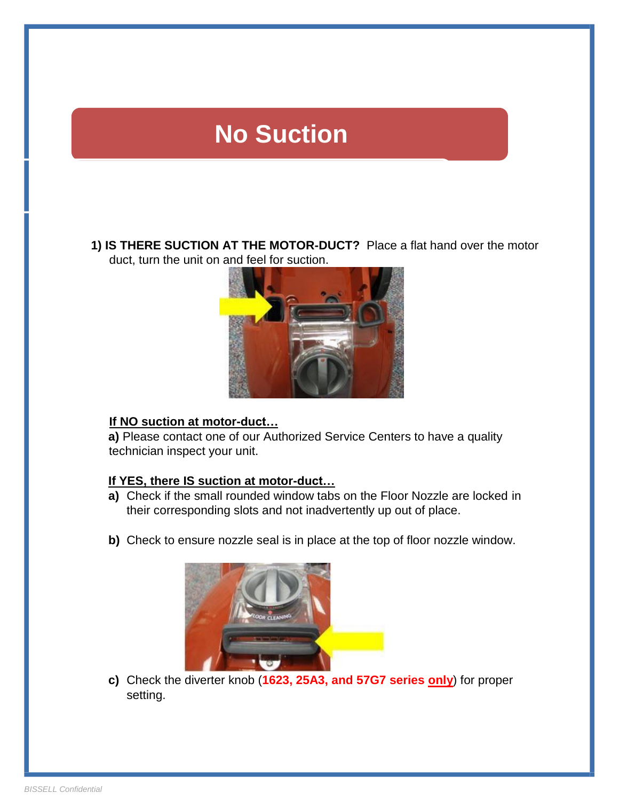# **No Suction**

**1) IS THERE SUCTION AT THE MOTOR-DUCT?** Place a flat hand over the motor duct, turn the unit on and feel for suction.



#### **If NO suction at motor-duct…**

**a)** Please contact one of our Authorized Service Centers to have a quality technician inspect your unit.

### **If YES, there IS suction at motor-duct…**

- **a)** Check if the small rounded window tabs on the Floor Nozzle are locked in their corresponding slots and not inadvertently up out of place.
- **b)** Check to ensure nozzle seal is in place at the top of floor nozzle window.



**c)** Check the diverter knob (**1623, 25A3, and 57G7 series only**) for proper setting.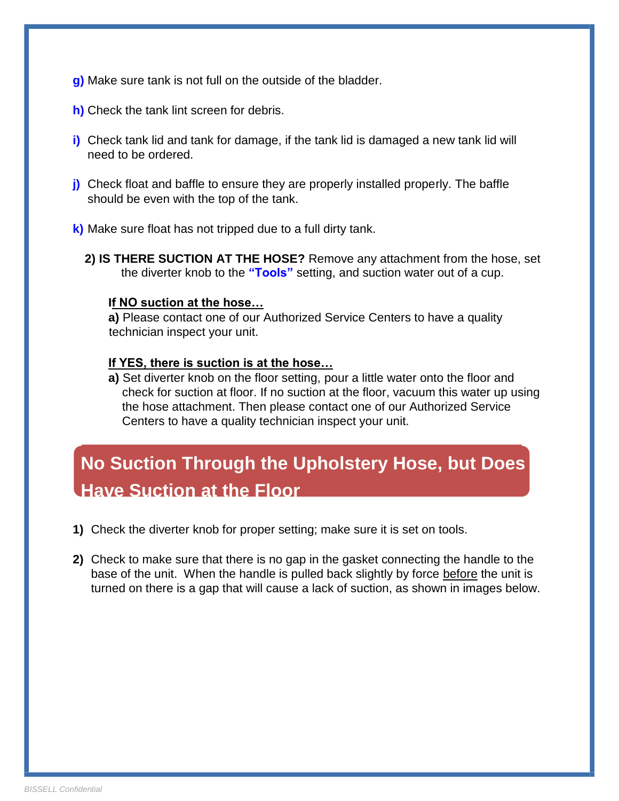- **g)** Make sure tank is not full on the outside of the bladder.
- **h)** Check the tank lint screen for debris.
- **i)** Check tank lid and tank for damage, if the tank lid is damaged a new tank lid will need to be ordered.
- **j)** Check float and baffle to ensure they are properly installed properly. The baffle should be even with the top of the tank.
- **k)** Make sure float has not tripped due to a full dirty tank.
	- **2) IS THERE SUCTION AT THE HOSE?** Remove any attachment from the hose, set the diverter knob to the **"Tools"** setting, and suction water out of a cup.

#### **If NO suction at the hose…**

**a)** Please contact one of our Authorized Service Centers to have a quality technician inspect your unit.

#### **If YES, there is suction is at the hose…**

**a)** Set diverter knob on the floor setting, pour a little water onto the floor and check for suction at floor. If no suction at the floor, vacuum this water up using the hose attachment. Then please contact one of our Authorized Service Centers to have a quality technician inspect your unit.

## **No Suction Through the Upholstery Hose, but Does Have Suction at the Floor**

- **1)** Check the diverter knob for proper setting; make sure it is set on tools.
- **2)** Check to make sure that there is no gap in the gasket connecting the handle to the base of the unit. When the handle is pulled back slightly by force before the unit is turned on there is a gap that will cause a lack of suction, as shown in images below.